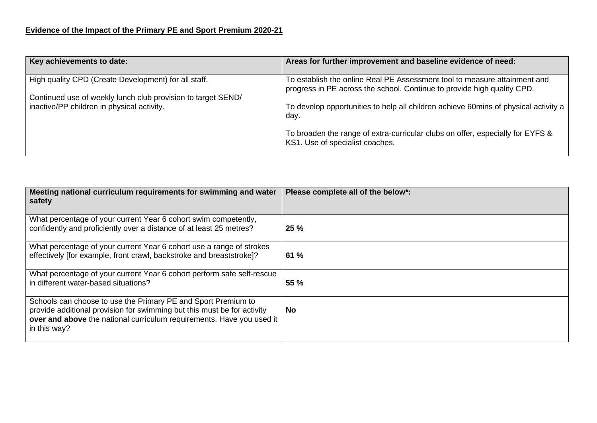| Key achievements to date:                                    | Areas for further improvement and baseline evidence of need:                                                                                         |
|--------------------------------------------------------------|------------------------------------------------------------------------------------------------------------------------------------------------------|
| High quality CPD (Create Development) for all staff.         | To establish the online Real PE Assessment tool to measure attainment and<br>progress in PE across the school. Continue to provide high quality CPD. |
| Continued use of weekly lunch club provision to target SEND/ |                                                                                                                                                      |
| inactive/PP children in physical activity.                   | To develop opportunities to help all children achieve 60mins of physical activity a<br>day.                                                          |
|                                                              | To broaden the range of extra-curricular clubs on offer, especially for EYFS &<br>KS1. Use of specialist coaches.                                    |

| Meeting national curriculum requirements for swimming and water<br>safety                                                                                                                                                         | Please complete all of the below*: |
|-----------------------------------------------------------------------------------------------------------------------------------------------------------------------------------------------------------------------------------|------------------------------------|
| What percentage of your current Year 6 cohort swim competently,<br>confidently and proficiently over a distance of at least 25 metres?                                                                                            | 25 %                               |
| What percentage of your current Year 6 cohort use a range of strokes<br>effectively [for example, front crawl, backstroke and breaststroke]?                                                                                      | 61%                                |
| What percentage of your current Year 6 cohort perform safe self-rescue<br>in different water-based situations?                                                                                                                    | 55 %                               |
| Schools can choose to use the Primary PE and Sport Premium to<br>provide additional provision for swimming but this must be for activity<br>over and above the national curriculum requirements. Have you used it<br>in this way? | <b>No</b>                          |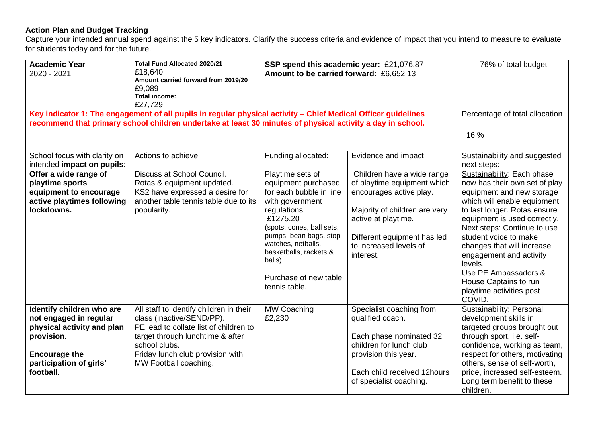## **Action Plan and Budget Tracking**

Capture your intended annual spend against the 5 key indicators. Clarify the success criteria and evidence of impact that you intend to measure to evaluate for students today and for the future.

| <b>Academic Year</b><br>2020 - 2021                                                                                                                             | <b>Total Fund Allocated 2020/21</b><br>£18,640<br>Amount carried forward from 2019/20<br>£9,089<br><b>Total income:</b><br>£27,729                                                                                               | SSP spend this academic year: £21,076.87<br>Amount to be carried forward: £6,652.13                                                                                                                                                                                          |                                                                                                                                                                                                                    | 76% of total budget                                                                                                                                                                                                                                                                                                                                                                                        |
|-----------------------------------------------------------------------------------------------------------------------------------------------------------------|----------------------------------------------------------------------------------------------------------------------------------------------------------------------------------------------------------------------------------|------------------------------------------------------------------------------------------------------------------------------------------------------------------------------------------------------------------------------------------------------------------------------|--------------------------------------------------------------------------------------------------------------------------------------------------------------------------------------------------------------------|------------------------------------------------------------------------------------------------------------------------------------------------------------------------------------------------------------------------------------------------------------------------------------------------------------------------------------------------------------------------------------------------------------|
|                                                                                                                                                                 | Key indicator 1: The engagement of all pupils in regular physical activity - Chief Medical Officer guidelines<br>recommend that primary school children undertake at least 30 minutes of physical activity a day in school.      |                                                                                                                                                                                                                                                                              |                                                                                                                                                                                                                    | Percentage of total allocation                                                                                                                                                                                                                                                                                                                                                                             |
|                                                                                                                                                                 |                                                                                                                                                                                                                                  |                                                                                                                                                                                                                                                                              |                                                                                                                                                                                                                    | 16 %                                                                                                                                                                                                                                                                                                                                                                                                       |
| School focus with clarity on<br>intended impact on pupils:                                                                                                      | Actions to achieve:                                                                                                                                                                                                              | Funding allocated:                                                                                                                                                                                                                                                           | Evidence and impact                                                                                                                                                                                                | Sustainability and suggested<br>next steps:                                                                                                                                                                                                                                                                                                                                                                |
| Offer a wide range of<br>playtime sports<br>equipment to encourage<br>active playtimes following<br>lockdowns.                                                  | Discuss at School Council.<br>Rotas & equipment updated.<br>KS2 have expressed a desire for<br>another table tennis table due to its<br>popularity.                                                                              | Playtime sets of<br>equipment purchased<br>for each bubble in line<br>with government<br>regulations.<br>£1275.20<br>(spots, cones, ball sets,<br>pumps, bean bags, stop<br>watches, netballs,<br>basketballs, rackets &<br>balls)<br>Purchase of new table<br>tennis table. | Children have a wide range<br>of playtime equipment which<br>encourages active play.<br>Majority of children are very<br>active at playtime.<br>Different equipment has led<br>to increased levels of<br>interest. | Sustainability: Each phase<br>now has their own set of play<br>equipment and new storage<br>which will enable equipment<br>to last longer. Rotas ensure<br>equipment is used correctly.<br>Next steps: Continue to use<br>student voice to make<br>changes that will increase<br>engagement and activity<br>levels.<br>Use PE Ambassadors &<br>House Captains to run<br>playtime activities post<br>COVID. |
| Identify children who are<br>not engaged in regular<br>physical activity and plan<br>provision.<br><b>Encourage the</b><br>participation of girls'<br>football. | All staff to identify children in their<br>class (inactive/SEND/PP).<br>PE lead to collate list of children to<br>target through lunchtime & after<br>school clubs.<br>Friday lunch club provision with<br>MW Football coaching. | <b>MW Coaching</b><br>£2,230                                                                                                                                                                                                                                                 | Specialist coaching from<br>qualified coach.<br>Each phase nominated 32<br>children for lunch club<br>provision this year.<br>Each child received 12hours<br>of specialist coaching.                               | <b>Sustainability: Personal</b><br>development skills in<br>targeted groups brought out<br>through sport, i.e. self-<br>confidence, working as team,<br>respect for others, motivating<br>others, sense of self-worth,<br>pride, increased self-esteem.<br>Long term benefit to these<br>children.                                                                                                         |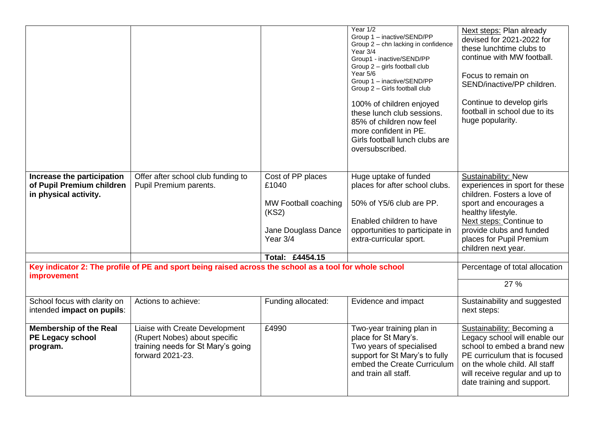|                                                                                                                       |                                                                                                                           |                                                                                                                   | Year 1/2<br>Group 1 - inactive/SEND/PP<br>Group 2 - chn lacking in confidence<br>Year 3/4<br>Group1 - inactive/SEND/PP<br>Group 2 - girls football club<br>Year 5/6<br>Group 1 - inactive/SEND/PP<br>Group 2 - Girls football club<br>100% of children enjoyed<br>these lunch club sessions.<br>85% of children now feel<br>more confident in PE.<br>Girls football lunch clubs are<br>oversubscribed. | Next steps: Plan already<br>devised for 2021-2022 for<br>these lunchtime clubs to<br>continue with MW football.<br>Focus to remain on<br>SEND/inactive/PP children.<br>Continue to develop girls<br>football in school due to its<br>huge popularity. |
|-----------------------------------------------------------------------------------------------------------------------|---------------------------------------------------------------------------------------------------------------------------|-------------------------------------------------------------------------------------------------------------------|--------------------------------------------------------------------------------------------------------------------------------------------------------------------------------------------------------------------------------------------------------------------------------------------------------------------------------------------------------------------------------------------------------|-------------------------------------------------------------------------------------------------------------------------------------------------------------------------------------------------------------------------------------------------------|
| Increase the participation<br>of Pupil Premium children<br>in physical activity.                                      | Offer after school club funding to<br>Pupil Premium parents.                                                              | Cost of PP places<br>£1040<br>MW Football coaching<br>(KS2)<br>Jane Douglass Dance<br>Year 3/4<br>Total: £4454.15 | Huge uptake of funded<br>places for after school clubs.<br>50% of Y5/6 club are PP.<br>Enabled children to have<br>opportunities to participate in<br>extra-curricular sport.                                                                                                                                                                                                                          | Sustainability: New<br>experiences in sport for these<br>children. Fosters a love of<br>sport and encourages a<br>healthy lifestyle.<br>Next steps: Continue to<br>provide clubs and funded<br>places for Pupil Premium<br>children next year.        |
| Key indicator 2: The profile of PE and sport being raised across the school as a tool for whole school<br>improvement |                                                                                                                           |                                                                                                                   | Percentage of total allocation<br>27 %                                                                                                                                                                                                                                                                                                                                                                 |                                                                                                                                                                                                                                                       |
| School focus with clarity on<br>intended impact on pupils:                                                            | Actions to achieve:                                                                                                       | Funding allocated:                                                                                                | Evidence and impact                                                                                                                                                                                                                                                                                                                                                                                    | Sustainability and suggested<br>next steps:                                                                                                                                                                                                           |
| <b>Membership of the Real</b><br>PE Legacy school<br>program.                                                         | Liaise with Create Development<br>(Rupert Nobes) about specific<br>training needs for St Mary's going<br>forward 2021-23. | £4990                                                                                                             | Two-year training plan in<br>place for St Mary's.<br>Two years of specialised<br>support for St Mary's to fully<br>embed the Create Curriculum<br>and train all staff.                                                                                                                                                                                                                                 | Sustainability: Becoming a<br>Legacy school will enable our<br>school to embed a brand new<br>PE curriculum that is focused<br>on the whole child. All staff<br>will receive regular and up to<br>date training and support.                          |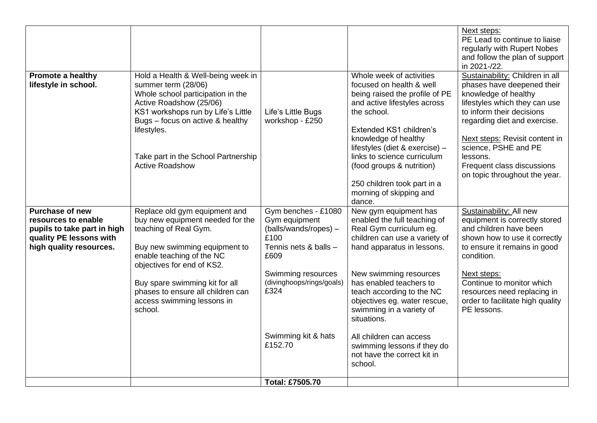|                                                                                                                                    |                                                                                                                                                                                                                                                                                                        |                                                                                                                                                                                                     |                                                                                                                                                                                                                                                                                                                                                                                                                  | Next steps:<br>PE Lead to continue to liaise<br>regularly with Rupert Nobes<br>and follow the plan of support<br>in 2021-/22.                                                                                                                                                                                            |
|------------------------------------------------------------------------------------------------------------------------------------|--------------------------------------------------------------------------------------------------------------------------------------------------------------------------------------------------------------------------------------------------------------------------------------------------------|-----------------------------------------------------------------------------------------------------------------------------------------------------------------------------------------------------|------------------------------------------------------------------------------------------------------------------------------------------------------------------------------------------------------------------------------------------------------------------------------------------------------------------------------------------------------------------------------------------------------------------|--------------------------------------------------------------------------------------------------------------------------------------------------------------------------------------------------------------------------------------------------------------------------------------------------------------------------|
| <b>Promote a healthy</b><br>lifestyle in school.                                                                                   | Hold a Health & Well-being week in<br>summer term (28/06)<br>Whole school participation in the<br>Active Roadshow (25/06)<br>KS1 workshops run by Life's Little<br>Bugs - focus on active & healthy<br>lifestyles.<br>Take part in the School Partnership<br><b>Active Roadshow</b>                    | Life's Little Bugs<br>workshop - £250                                                                                                                                                               | Whole week of activities<br>focused on health & well<br>being raised the profile of PE<br>and active lifestyles across<br>the school.<br>Extended KS1 children's<br>knowledge of healthy<br>lifestyles (diet & exercise) -<br>links to science curriculum<br>(food groups & nutrition)<br>250 children took part in a<br>morning of skipping and<br>dance.                                                       | Sustainability: Children in all<br>phases have deepened their<br>knowledge of healthy<br>lifestyles which they can use<br>to inform their decisions<br>regarding diet and exercise.<br>Next steps: Revisit content in<br>science, PSHE and PE<br>lessons.<br>Frequent class discussions<br>on topic throughout the year. |
| <b>Purchase of new</b><br>resources to enable<br>pupils to take part in high<br>quality PE lessons with<br>high quality resources. | Replace old gym equipment and<br>buy new equipment needed for the<br>teaching of Real Gym.<br>Buy new swimming equipment to<br>enable teaching of the NC<br>objectives for end of KS2.<br>Buy spare swimming kit for all<br>phases to ensure all children can<br>access swimming lessons in<br>school. | Gym benches - £1080<br>Gym equipment<br>(balls/wands/ropes) -<br>£100<br>Tennis nets & balls -<br>£609<br>Swimming resources<br>(divinghoops/rings/goals)<br>£324<br>Swimming kit & hats<br>£152.70 | New gym equipment has<br>enabled the full teaching of<br>Real Gym curriculum eg.<br>children can use a variety of<br>hand apparatus in lessons.<br>New swimming resources<br>has enabled teachers to<br>teach according to the NC<br>objectives eg. water rescue,<br>swimming in a variety of<br>situations.<br>All children can access<br>swimming lessons if they do<br>not have the correct kit in<br>school. | Sustainability: All new<br>equipment is correctly stored<br>and children have been<br>shown how to use it correctly<br>to ensure it remains in good<br>condition.<br>Next steps:<br>Continue to monitor which<br>resources need replacing in<br>order to facilitate high quality<br>PE lessons.                          |
|                                                                                                                                    |                                                                                                                                                                                                                                                                                                        | <b>Total: £7505.70</b>                                                                                                                                                                              |                                                                                                                                                                                                                                                                                                                                                                                                                  |                                                                                                                                                                                                                                                                                                                          |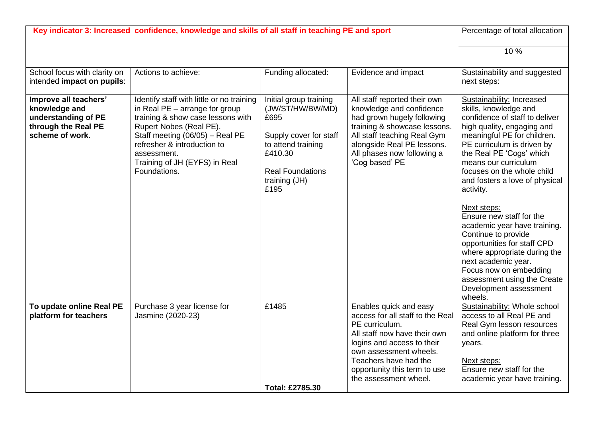| School focus with clarity on<br>Actions to achieve:<br>Funding allocated:<br>Evidence and impact<br>intended impact on pupils:<br>Improve all teachers'<br>Initial group training<br>All staff reported their own<br>Identify staff with little or no training<br>knowledge and<br>in Real $PE$ – arrange for group<br>(JW/ST/HW/BW/MD)<br>knowledge and confidence<br>understanding of PE<br>training & show case lessons with<br>had grown hugely following<br>£695<br>through the Real PE<br>Rupert Nobes (Real PE).<br>training & showcase lessons.<br>scheme of work.<br>Staff meeting (06/05) - Real PE<br>Supply cover for staff<br>All staff teaching Real Gym<br>alongside Real PE lessons.<br>refresher & introduction to<br>to attend training<br>£410.30<br>All phases now following a<br>assessment. |                                                                                                                                                                                                                                                                                                                                                                                                                                                                                                                                                                                                        |
|-------------------------------------------------------------------------------------------------------------------------------------------------------------------------------------------------------------------------------------------------------------------------------------------------------------------------------------------------------------------------------------------------------------------------------------------------------------------------------------------------------------------------------------------------------------------------------------------------------------------------------------------------------------------------------------------------------------------------------------------------------------------------------------------------------------------|--------------------------------------------------------------------------------------------------------------------------------------------------------------------------------------------------------------------------------------------------------------------------------------------------------------------------------------------------------------------------------------------------------------------------------------------------------------------------------------------------------------------------------------------------------------------------------------------------------|
|                                                                                                                                                                                                                                                                                                                                                                                                                                                                                                                                                                                                                                                                                                                                                                                                                   | 10%                                                                                                                                                                                                                                                                                                                                                                                                                                                                                                                                                                                                    |
|                                                                                                                                                                                                                                                                                                                                                                                                                                                                                                                                                                                                                                                                                                                                                                                                                   | Sustainability and suggested<br>next steps:                                                                                                                                                                                                                                                                                                                                                                                                                                                                                                                                                            |
| Training of JH (EYFS) in Real<br>'Cog based' PE<br>Foundations.<br><b>Real Foundations</b><br>training (JH)<br>£195                                                                                                                                                                                                                                                                                                                                                                                                                                                                                                                                                                                                                                                                                               | Sustainability: Increased<br>skills, knowledge and<br>confidence of staff to deliver<br>high quality, engaging and<br>meaningful PE for children.<br>PE curriculum is driven by<br>the Real PE 'Cogs' which<br>means our curriculum<br>focuses on the whole child<br>and fosters a love of physical<br>activity.<br>Next steps:<br>Ensure new staff for the<br>academic year have training.<br>Continue to provide<br>opportunities for staff CPD<br>where appropriate during the<br>next academic year.<br>Focus now on embedding<br>assessment using the Create<br>Development assessment<br>wheels. |
| To update online Real PE<br>£1485<br>Enables quick and easy<br>Purchase 3 year license for<br>platform for teachers<br>Jasmine (2020-23)<br>access for all staff to the Real<br>PE curriculum.<br>All staff now have their own<br>logins and access to their<br>own assessment wheels.<br>Teachers have had the<br>opportunity this term to use<br>the assessment wheel.<br>Total: £2785.30                                                                                                                                                                                                                                                                                                                                                                                                                       | Sustainability: Whole school<br>access to all Real PE and<br>Real Gym lesson resources<br>and online platform for three<br>years.<br>Next steps:<br>Ensure new staff for the<br>academic year have training.                                                                                                                                                                                                                                                                                                                                                                                           |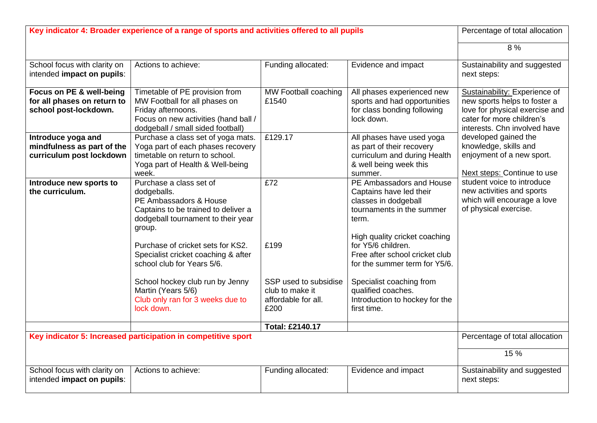| Key indicator 4: Broader experience of a range of sports and activities offered to all pupils |                                                                                                                                                                    |                                                                         | Percentage of total allocation                                                                                              |                                                                                                                                                              |
|-----------------------------------------------------------------------------------------------|--------------------------------------------------------------------------------------------------------------------------------------------------------------------|-------------------------------------------------------------------------|-----------------------------------------------------------------------------------------------------------------------------|--------------------------------------------------------------------------------------------------------------------------------------------------------------|
|                                                                                               |                                                                                                                                                                    |                                                                         |                                                                                                                             | 8%                                                                                                                                                           |
| School focus with clarity on<br>intended impact on pupils:                                    | Actions to achieve:                                                                                                                                                | Funding allocated:                                                      | Evidence and impact                                                                                                         | Sustainability and suggested<br>next steps:                                                                                                                  |
| Focus on PE & well-being<br>for all phases on return to<br>school post-lockdown.              | Timetable of PE provision from<br>MW Football for all phases on<br>Friday afternoons.<br>Focus on new activities (hand ball /<br>dodgeball / small sided football) | MW Football coaching<br>£1540                                           | All phases experienced new<br>sports and had opportunities<br>for class bonding following<br>lock down.                     | Sustainability: Experience of<br>new sports helps to foster a<br>love for physical exercise and<br>cater for more children's<br>interests. Chn involved have |
| Introduce yoga and<br>mindfulness as part of the<br>curriculum post lockdown                  | Purchase a class set of yoga mats.<br>Yoga part of each phases recovery<br>timetable on return to school.<br>Yoga part of Health & Well-being<br>week.             | £129.17                                                                 | All phases have used yoga<br>as part of their recovery<br>curriculum and during Health<br>& well being week this<br>summer. | developed gained the<br>knowledge, skills and<br>enjoyment of a new sport.<br>Next steps: Continue to use                                                    |
| Introduce new sports to<br>the curriculum.                                                    | Purchase a class set of<br>dodgeballs.<br>PE Ambassadors & House<br>Captains to be trained to deliver a<br>dodgeball tournament to their year<br>group.            | £72                                                                     | PE Ambassadors and House<br>Captains have led their<br>classes in dodgeball<br>tournaments in the summer<br>term.           | student voice to introduce<br>new activities and sports<br>which will encourage a love<br>of physical exercise.                                              |
|                                                                                               | Purchase of cricket sets for KS2.<br>Specialist cricket coaching & after<br>school club for Years 5/6.                                                             | £199                                                                    | High quality cricket coaching<br>for Y5/6 children.<br>Free after school cricket club<br>for the summer term for Y5/6.      |                                                                                                                                                              |
|                                                                                               | School hockey club run by Jenny<br>Martin (Years 5/6)<br>Club only ran for 3 weeks due to<br>lock down.                                                            | SSP used to subsidise<br>club to make it<br>affordable for all.<br>£200 | Specialist coaching from<br>qualified coaches.<br>Introduction to hockey for the<br>first time.                             |                                                                                                                                                              |
|                                                                                               |                                                                                                                                                                    | <b>Total: £2140.17</b>                                                  |                                                                                                                             |                                                                                                                                                              |
|                                                                                               | Key indicator 5: Increased participation in competitive sport                                                                                                      |                                                                         |                                                                                                                             | Percentage of total allocation                                                                                                                               |
|                                                                                               |                                                                                                                                                                    |                                                                         |                                                                                                                             | 15 %                                                                                                                                                         |
| School focus with clarity on<br>intended impact on pupils:                                    | Actions to achieve:                                                                                                                                                | Funding allocated:                                                      | Evidence and impact                                                                                                         | Sustainability and suggested<br>next steps:                                                                                                                  |